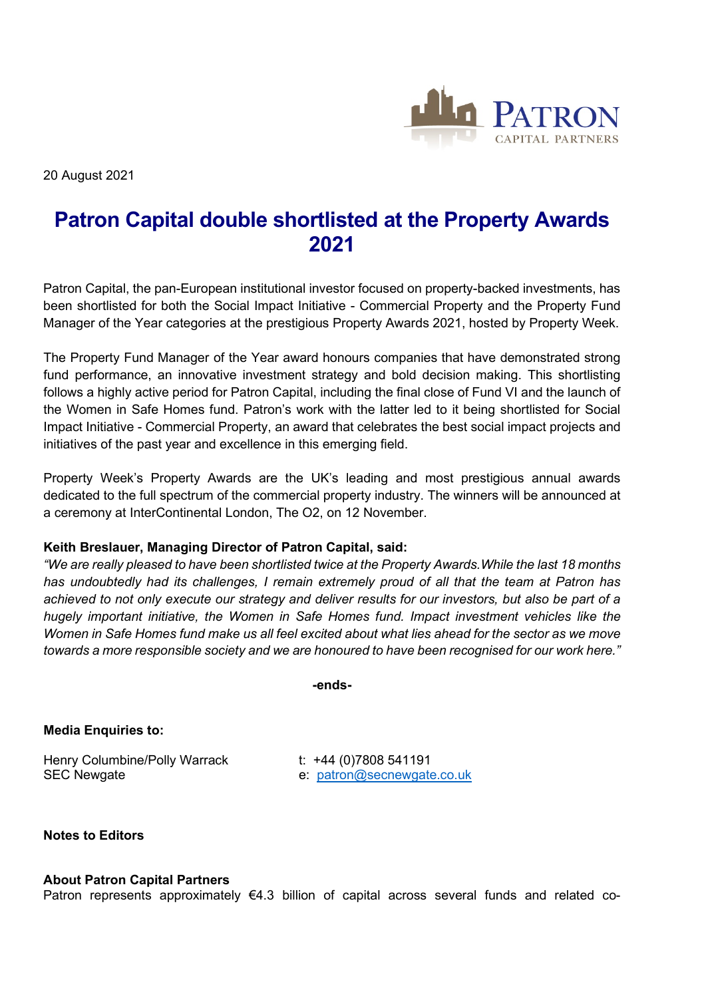

20 August 2021

## **Patron Capital double shortlisted at the Property Awards 2021**

Patron Capital, the pan-European institutional investor focused on property-backed investments, has been shortlisted for both the Social Impact Initiative - Commercial Property and the Property Fund Manager of the Year categories at the prestigious Property Awards 2021, hosted by Property Week.

The Property Fund Manager of the Year award honours companies that have demonstrated strong fund performance, an innovative investment strategy and bold decision making. This shortlisting follows a highly active period for Patron Capital, including the final close of Fund VI and the launch of the Women in Safe Homes fund. Patron's work with the latter led to it being shortlisted for Social Impact Initiative - Commercial Property, an award that celebrates the best social impact projects and initiatives of the past year and excellence in this emerging field.

Property Week's Property Awards are the UK's leading and most prestigious annual awards dedicated to the full spectrum of the commercial property industry. The winners will be announced at a ceremony at InterContinental London, The O2, on 12 November.

## **Keith Breslauer, Managing Director of Patron Capital, said:**

*"We are really pleased to have been shortlisted twice at the Property Awards.While the last 18 months has undoubtedly had its challenges, I remain extremely proud of all that the team at Patron has achieved to not only execute our strategy and deliver results for our investors, but also be part of a hugely important initiative, the Women in Safe Homes fund. Impact investment vehicles like the Women in Safe Homes fund make us all feel excited about what lies ahead for the sector as we move towards a more responsible society and we are honoured to have been recognised for our work here."*

**-ends-**

**Media Enquiries to:**

Henry Columbine/Polly Warrack t: +44 (0)7808 541191 SEC Newgate e: [patron@secnewgate.co.uk](mailto:patron@secnewgate.co.uk)

**Notes to Editors**

## **About Patron Capital Partners**

Patron represents approximately €4.3 billion of capital across several funds and related co-